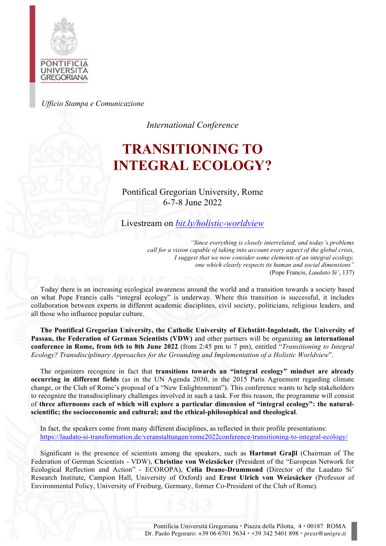

*Ufficio Stampa e Comunicazione*

*International Conference*

# **TRANSITIONING TO INTEGRAL ECOLOGY?**

Pontifical Gregorian University, Rome 6-7-8 June 2022

Livestream on *bit.ly/holistic-worldview*

*"Since everything is closely interrelated, and today's problems call for a vision capable of taking into account every aspect of the global crisis, I suggest that we now consider some elements of an integral ecology, one which clearly respects its human and social dimensions"* (Pope Francis, *Laudato Si'*, 137)

Today there is an increasing ecological awareness around the world and a transition towards a society based on what Pope Francis calls "integral ecology" is underway. Where this transition is successful, it includes collaboration between experts in different academic disciplines, civil society, politicians, religious leaders, and all those who influence popular culture.

**The Pontifical Gregorian University, the Catholic University of Eichstätt-Ingolstadt, the University of Passau, the Federation of German Scientists (VDW)** and other partners will be organizing **an international conference in Rome, from 6th to 8th June 2022** (from 2:45 pm to 7 pm), entitled "*Transitioning to Integral Ecology? Transdisciplinary Approaches for the Grounding and Implementation of a Holistic Worldview*".

The organizers recognize in fact that **transitions towards an "integral ecology" mindset are already occurring in different fields** (as in the UN Agenda 2030, in the 2015 Paris Agreement regarding climate change, or the Club of Rome's proposal of a "New Enlightenment"). This conference wants to help stakeholders to recognize the transdisciplinary challenges involved in such a task. For this reason, the programme will consist of **three afternoons each of which will explore a particular dimension of "integral ecology": the naturalscientific; the socioeconomic and cultural; and the ethical-philosophical and theological**.

In fact, the speakers come from many different disciplines, as reflected in their profile presentations: https://laudato-si-transformation.de/veranstaltungen/rome2022conference-transitioning-to-integral-ecology/

Significant is the presence of scientists among the speakers, such as **Hartmut Graβl** (Chairman of The Federation of German Scientists - VDW), **Christine von Weizsäcker** (President of the "European Network for Ecological Reflection and Action" - ECOROPA), **Celia Deane-Drummond** (Director of the Laudato Si' Research Institute, Campion Hall, University of Oxford) and **Ernst Ulrich von Weizsäcker** (Professor of Environmental Policy, University of Freiburg, Germany, former Co-President of the Club of Rome).